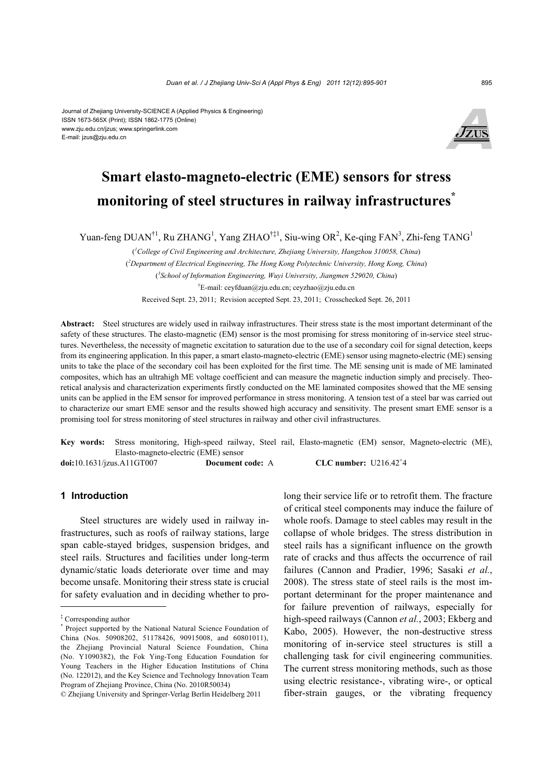#### Journal of Zhejiang University-SCIENCE A (Applied Physics & Engineering) ISSN 1673-565X (Print); ISSN 1862-1775 (Online) www.zju.edu.cn/jzus; www.springerlink.com E-mail: jzus@zju.edu.cn



# **Smart elasto-magneto-electric (EME) sensors for stress monitoring of steel structures in railway infrastructures\***

Yuan-feng DUAN<sup>†1</sup>, Ru ZHANG<sup>1</sup>, Yang ZHAO<sup>†‡1</sup>, Siu-wing OR<sup>2</sup>, Ke-qing FAN<sup>3</sup>, Zhi-feng TANG<sup>1</sup>

( *1 College of Civil Engineering and Architecture, Zhejiang University, Hangzhou 310058, China*) ( *2 Department of Electrical Engineering, The Hong Kong Polytechnic University, Hong Kong, China*) ( *3 School of Information Engineering, Wuyi University, Jiangmen 529020, China*) † E-mail: ceyfduan@zju.edu.cn; ceyzhao@zju.edu.cn Received Sept. 23, 2011; Revision accepted Sept. 23, 2011; Crosschecked Sept. 26, 2011

**Abstract:** Steel structures are widely used in railway infrastructures. Their stress state is the most important determinant of the safety of these structures. The elasto-magnetic (EM) sensor is the most promising for stress monitoring of in-service steel structures. Nevertheless, the necessity of magnetic excitation to saturation due to the use of a secondary coil for signal detection, keeps from its engineering application. In this paper, a smart elasto-magneto-electric (EME) sensor using magneto-electric (ME) sensing units to take the place of the secondary coil has been exploited for the first time. The ME sensing unit is made of ME laminated composites, which has an ultrahigh ME voltage coefficient and can measure the magnetic induction simply and precisely. Theoretical analysis and characterization experiments firstly conducted on the ME laminated composites showed that the ME sensing units can be applied in the EM sensor for improved performance in stress monitoring. A tension test of a steel bar was carried out to characterize our smart EME sensor and the results showed high accuracy and sensitivity. The present smart EME sensor is a promising tool for stress monitoring of steel structures in railway and other civil infrastructures.

**Key words:** Stress monitoring, High-speed railway, Steel rail, Elasto-magnetic (EM) sensor, Magneto-electric (ME), Elasto-magneto-electric (EME) sensor **doi:**10.1631/jzus.A11GT007 **Document code:** A CLC number:  $U216.42^+4$ 

### **1 Introduction**

Steel structures are widely used in railway infrastructures, such as roofs of railway stations, large span cable-stayed bridges, suspension bridges, and steel rails. Structures and facilities under long-term dynamic/static loads deteriorate over time and may become unsafe. Monitoring their stress state is crucial for safety evaluation and in deciding whether to prolong their service life or to retrofit them. The fracture of critical steel components may induce the failure of whole roofs. Damage to steel cables may result in the collapse of whole bridges. The stress distribution in steel rails has a significant influence on the growth rate of cracks and thus affects the occurrence of rail failures (Cannon and Pradier, 1996; Sasaki *et al.*, 2008). The stress state of steel rails is the most important determinant for the proper maintenance and for failure prevention of railways, especially for high-speed railways (Cannon *et al.*, 2003; Ekberg and Kabo, 2005). However, the non-destructive stress monitoring of in-service steel structures is still a challenging task for civil engineering communities. The current stress monitoring methods, such as those using electric resistance-, vibrating wire-, or optical fiber-strain gauges, or the vibrating frequency

<sup>‡</sup> Corresponding author

<sup>\*</sup> Project supported by the National Natural Science Foundation of China (Nos. 50908202, 51178426, 90915008, and 60801011), the Zhejiang Provincial Natural Science Foundation, China (No. Y1090382), the Fok Ying-Tong Education Foundation for Young Teachers in the Higher Education Institutions of China (No. 122012), and the Key Science and Technology Innovation Team Program of Zhejiang Province, China (No. 2010R50034)

<sup>©</sup> Zhejiang University and Springer-Verlag Berlin Heidelberg 2011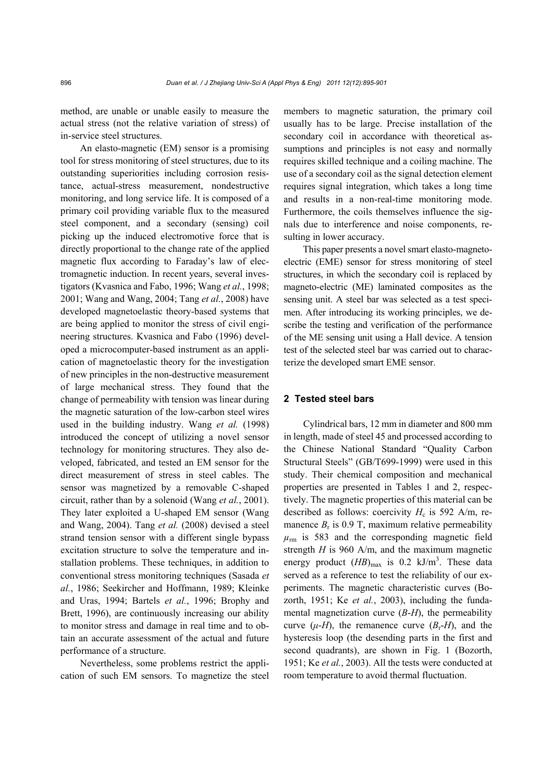method, are unable or unable easily to measure the actual stress (not the relative variation of stress) of in-service steel structures.

An elasto-magnetic (EM) sensor is a promising tool for stress monitoring of steel structures, due to its outstanding superiorities including corrosion resistance, actual-stress measurement, nondestructive monitoring, and long service life. It is composed of a primary coil providing variable flux to the measured steel component, and a secondary (sensing) coil picking up the induced electromotive force that is directly proportional to the change rate of the applied magnetic flux according to Faraday's law of electromagnetic induction. In recent years, several investigators (Kvasnica and Fabo, 1996; Wang *et al.*, 1998; 2001; Wang and Wang, 2004; Tang *et al.*, 2008) have developed magnetoelastic theory-based systems that are being applied to monitor the stress of civil engineering structures. Kvasnica and Fabo (1996) developed a microcomputer-based instrument as an application of magnetoelastic theory for the investigation of new principles in the non-destructive measurement of large mechanical stress. They found that the change of permeability with tension was linear during the magnetic saturation of the low-carbon steel wires used in the building industry. Wang *et al.* (1998) introduced the concept of utilizing a novel sensor technology for monitoring structures. They also developed, fabricated, and tested an EM sensor for the direct measurement of stress in steel cables. The sensor was magnetized by a removable C-shaped circuit, rather than by a solenoid (Wang *et al.*, 2001). They later exploited a U-shaped EM sensor (Wang and Wang, 2004). Tang *et al.* (2008) devised a steel strand tension sensor with a different single bypass excitation structure to solve the temperature and installation problems. These techniques, in addition to conventional stress monitoring techniques (Sasada *et al.*, 1986; Seekircher and Hoffmann, 1989; Kleinke and Uras, 1994; Bartels *et al.*, 1996; Brophy and Brett, 1996), are continuously increasing our ability to monitor stress and damage in real time and to obtain an accurate assessment of the actual and future performance of a structure.

Nevertheless, some problems restrict the application of such EM sensors. To magnetize the steel members to magnetic saturation, the primary coil usually has to be large. Precise installation of the secondary coil in accordance with theoretical assumptions and principles is not easy and normally requires skilled technique and a coiling machine. The use of a secondary coil as the signal detection element requires signal integration, which takes a long time and results in a non-real-time monitoring mode. Furthermore, the coils themselves influence the signals due to interference and noise components, resulting in lower accuracy.

This paper presents a novel smart elasto-magnetoelectric (EME) sensor for stress monitoring of steel structures, in which the secondary coil is replaced by magneto-electric (ME) laminated composites as the sensing unit. A steel bar was selected as a test specimen. After introducing its working principles, we describe the testing and verification of the performance of the ME sensing unit using a Hall device. A tension test of the selected steel bar was carried out to characterize the developed smart EME sensor.

### **2 Tested steel bars**

Cylindrical bars, 12 mm in diameter and 800 mm in length, made of steel 45 and processed according to the Chinese National Standard "Quality Carbon Structural Steels" (GB/T699-1999) were used in this study. Their chemical composition and mechanical properties are presented in Tables 1 and 2, respectively. The magnetic properties of this material can be described as follows: coercivity  $H_c$  is 592 A/m, remanence  $B_r$  is 0.9 T, maximum relative permeability  $\mu_{\rm rm}$  is 583 and the corresponding magnetic field strength *H* is 960 A/m, and the maximum magnetic energy product  $(HB)_{\text{max}}$  is 0.2 kJ/m<sup>3</sup>. These data served as a reference to test the reliability of our experiments. The magnetic characteristic curves (Bozorth, 1951; Ke *et al.*, 2003), including the fundamental magnetization curve (*B*-*H*), the permeability curve  $(\mu$ -*H*), the remanence curve  $(B_r$ -*H*), and the hysteresis loop (the desending parts in the first and second quadrants), are shown in Fig. 1 (Bozorth, 1951; Ke *et al.*, 2003). All the tests were conducted at room temperature to avoid thermal fluctuation.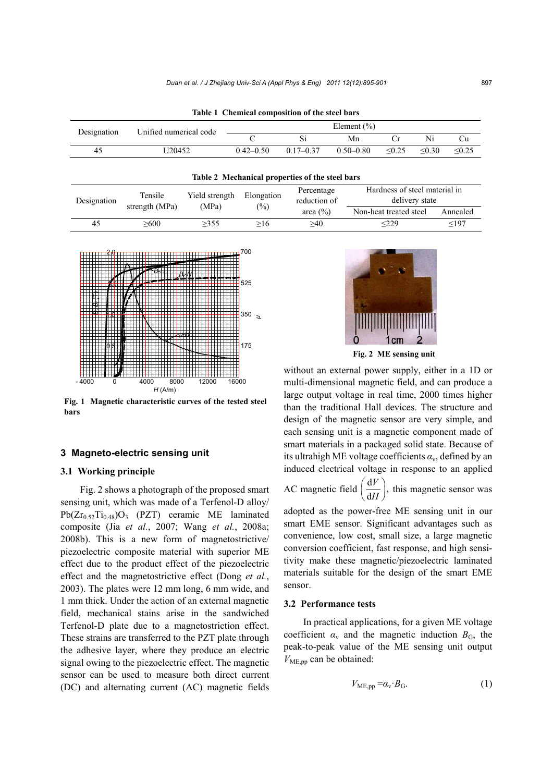| Designation | Unified numerical code | Element $(\% )$ |               |               |             |             |             |  |  |  |  |  |
|-------------|------------------------|-----------------|---------------|---------------|-------------|-------------|-------------|--|--|--|--|--|
|             |                        |                 |               | Mn            |             | Ni          | υu          |  |  |  |  |  |
| 45          | U20452                 | $0.42 - 0.50$   | $0.17 - 0.37$ | $0.50 - 0.80$ | $\leq 0.25$ | $\leq 0.30$ | $\leq 0.25$ |  |  |  |  |  |
|             |                        |                 |               |               |             |             |             |  |  |  |  |  |

**Table 1 Chemical composition of the steel bars**

| Table 2 Mechanical properties of the steel bars |                           |                         |                             |                                            |                                                 |          |  |  |  |  |  |
|-------------------------------------------------|---------------------------|-------------------------|-----------------------------|--------------------------------------------|-------------------------------------------------|----------|--|--|--|--|--|
| Designation                                     | Tensile<br>strength (MPa) | Yield strength<br>(MPa) | Elongation<br>$\frac{6}{2}$ | Percentage<br>reduction of<br>area $(\% )$ | Hardness of steel material in<br>delivery state |          |  |  |  |  |  |
|                                                 |                           |                         |                             |                                            | Non-heat treated steel                          | Annealed |  |  |  |  |  |
| 45                                              | >600                      | >355                    | >16                         | >40                                        | $<$ 229                                         | <197     |  |  |  |  |  |



**Fig. 1 Magnetic characteristic curves of the tested steel bars** 

### **3 Magneto-electric sensing unit**

### **3.1 Working principle**

Fig. 2 shows a photograph of the proposed smart sensing unit, which was made of a Terfenol-D alloy/  $Pb(Zr_{0.52}Ti_{0.48})O_3$  (PZT) ceramic ME laminated composite (Jia *et al.*, 2007; Wang *et al.*, 2008a; 2008b). This is a new form of magnetostrictive/ piezoelectric composite material with superior ME effect due to the product effect of the piezoelectric effect and the magnetostrictive effect (Dong *et al.*, 2003). The plates were 12 mm long, 6 mm wide, and 1 mm thick. Under the action of an external magnetic field, mechanical stains arise in the sandwiched Terfenol-D plate due to a magnetostriction effect. These strains are transferred to the PZT plate through the adhesive layer, where they produce an electric signal owing to the piezoelectric effect. The magnetic sensor can be used to measure both direct current (DC) and alternating current (AC) magnetic fields



**Fig. 2 ME sensing unit** 

without an external power supply, either in a 1D or multi-dimensional magnetic field, and can produce a large output voltage in real time, 2000 times higher than the traditional Hall devices. The structure and design of the magnetic sensor are very simple, and each sensing unit is a magnetic component made of smart materials in a packaged solid state. Because of its ultrahigh ME voltage coefficients *α*v, defined by an induced electrical voltage in response to an applied

## AC magnetic field  $\left(\frac{dV}{dH}\right)$ ,  $\left(\frac{dV}{dH}\right)$ , this magnetic sensor was

adopted as the power-free ME sensing unit in our smart EME sensor. Significant advantages such as convenience, low cost, small size, a large magnetic conversion coefficient, fast response, and high sensitivity make these magnetic/piezoelectric laminated materials suitable for the design of the smart EME sensor.

### **3.2 Performance tests**

In practical applications, for a given ME voltage coefficient  $\alpha$ <sub>v</sub> and the magnetic induction  $B_{\text{G}_{2}}$  the peak-to-peak value of the ME sensing unit output  $V_{\text{ME, pp}}$  can be obtained:

$$
V_{\text{ME,pp}} = \alpha_{\text{v}} \cdot B_{\text{G}}.\tag{1}
$$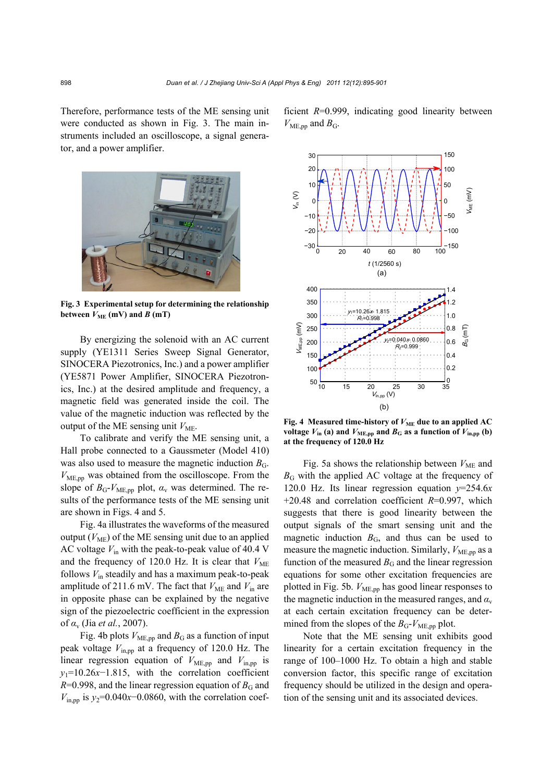Therefore, performance tests of the ME sensing unit were conducted as shown in Fig. 3. The main instruments included an oscilloscope, a signal generator, and a power amplifier.



**Fig. 3 Experimental setup for determining the relationship**  between  $V_{ME}$  (mV) and *B* (mT)

By energizing the solenoid with an AC current supply (YE1311 Series Sweep Signal Generator, SINOCERA Piezotronics, Inc.) and a power amplifier (YE5871 Power Amplifier, SINOCERA Piezotronics, Inc.) at the desired amplitude and frequency, a magnetic field was generated inside the coil. The value of the magnetic induction was reflected by the output of the ME sensing unit  $V_{\text{ME}}$ .

To calibrate and verify the ME sensing unit, a Hall probe connected to a Gaussmeter (Model 410) was also used to measure the magnetic induction  $B_G$ .  $V_{\text{ME,pp}}$  was obtained from the oscilloscope. From the slope of  $B_G-V_{ME,pp}$  plot,  $\alpha_v$  was determined. The results of the performance tests of the ME sensing unit are shown in Figs. 4 and 5.

Fig. 4a illustrates the waveforms of the measured output  $(V_{ME})$  of the ME sensing unit due to an applied AC voltage  $V_{\text{in}}$  with the peak-to-peak value of 40.4 V and the frequency of 120.0 Hz. It is clear that  $V_{ME}$ follows  $V_{\text{in}}$  steadily and has a maximum peak-to-peak amplitude of 211.6 mV. The fact that  $V_{ME}$  and  $V_{in}$  are in opposite phase can be explained by the negative sign of the piezoelectric coefficient in the expression of *α*v (Jia *et al.*, 2007).

Fig. 4b plots  $V_{\text{ME,pp}}$  and  $B_G$  as a function of input peak voltage *V*in,pp at a frequency of 120.0 Hz. The linear regression equation of  $V_{\text{ME,pp}}$  and  $V_{\text{in,pp}}$  is  $y_1=10.26x-1.815$ , with the correlation coefficient  $R=0.998$ , and the linear regression equation of  $B<sub>G</sub>$  and  $V_{\text{in,pp}}$  is  $y_2$ =0.040*x*−0.0860, with the correlation coef-



**Fig. 4 Measured time-history of**  $V_{ME}$  **due to an applied AC** voltage  $V_{\text{in}}$  (a) and  $V_{\text{ME,pp}}$  and  $B_{\text{G}}$  as a function of  $V_{\text{in,pp}}$  (b) **at the frequency of 120.0 Hz**

Fig. 5a shows the relationship between  $V_{ME}$  and  $B<sub>G</sub>$  with the applied AC voltage at the frequency of 120.0 Hz. Its linear regression equation *y*=254.6*x*  +20.48 and correlation coefficient *R*=0.997, which suggests that there is good linearity between the output signals of the smart sensing unit and the magnetic induction  $B<sub>G</sub>$ , and thus can be used to measure the magnetic induction. Similarly,  $V_{\text{ME,pp}}$  as a function of the measured  $B<sub>G</sub>$  and the linear regression equations for some other excitation frequencies are plotted in Fig. 5b.  $V_{ME,pp}$  has good linear responses to the magnetic induction in the measured ranges, and  $\alpha$ <sup>v</sup> at each certain excitation frequency can be determined from the slopes of the  $B$ <sub>G</sub>- $V$ <sub>ME,pp</sub> plot.

Note that the ME sensing unit exhibits good linearity for a certain excitation frequency in the range of 100–1000 Hz. To obtain a high and stable conversion factor, this specific range of excitation frequency should be utilized in the design and operation of the sensing unit and its associated devices.

ficient *R*=0.999, indicating good linearity between  $V_{\text{ME, pp}}$  and  $B_{\text{G}}$ .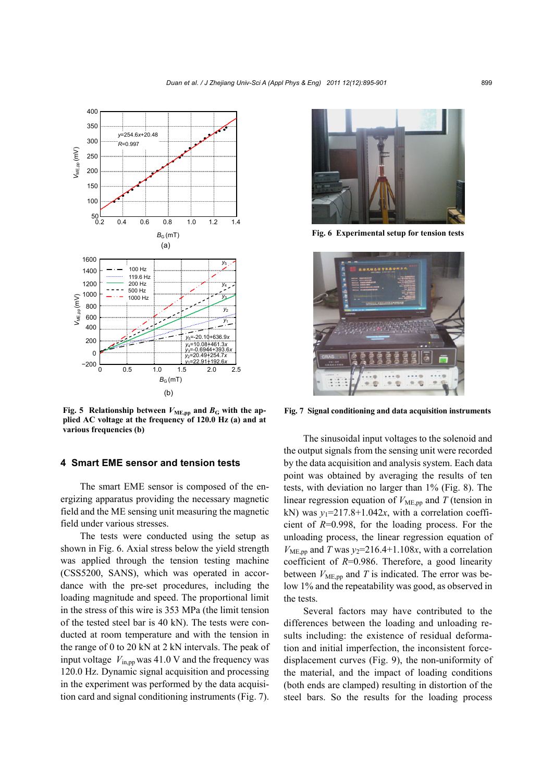

Fig. 5 Relationship between  $V_{\text{ME,pp}}$  and  $B_G$  with the ap**plied AC voltage at the frequency of 120.0 Hz (a) and at various frequencies (b)**

### **4 Smart EME sensor and tension tests**

The smart EME sensor is composed of the energizing apparatus providing the necessary magnetic field and the ME sensing unit measuring the magnetic field under various stresses.

The tests were conducted using the setup as shown in Fig. 6. Axial stress below the yield strength was applied through the tension testing machine (CSS5200, SANS), which was operated in accordance with the pre-set procedures, including the loading magnitude and speed. The proportional limit in the stress of this wire is 353 MPa (the limit tension of the tested steel bar is 40 kN). The tests were conducted at room temperature and with the tension in the range of 0 to 20 kN at 2 kN intervals. The peak of input voltage  $V_{\text{in,pp}}$  was 41.0 V and the frequency was 120.0 Hz. Dynamic signal acquisition and processing in the experiment was performed by the data acquisition card and signal conditioning instruments (Fig. 7).



**Fig. 6 Experimental setup for tension tests**



**Fig. 7 Signal conditioning and data acquisition instruments**

The sinusoidal input voltages to the solenoid and the output signals from the sensing unit were recorded by the data acquisition and analysis system. Each data point was obtained by averaging the results of ten tests, with deviation no larger than 1% (Fig. 8). The linear regression equation of  $V_{ME,pp}$  and *T* (tension in kN) was  $y_1$ =217.8+1.042*x*, with a correlation coefficient of *R*=0.998, for the loading process. For the unloading process, the linear regression equation of  $V_{\text{ME,pp}}$  and *T* was  $y_2$ =216.4+1.108*x*, with a correlation coefficient of *R*=0.986. Therefore, a good linearity between  $V_{\text{ME,pp}}$  and *T* is indicated. The error was below 1% and the repeatability was good, as observed in the tests.

Several factors may have contributed to the differences between the loading and unloading results including: the existence of residual deformation and initial imperfection, the inconsistent forcedisplacement curves (Fig. 9), the non-uniformity of the material, and the impact of loading conditions (both ends are clamped) resulting in distortion of the steel bars. So the results for the loading process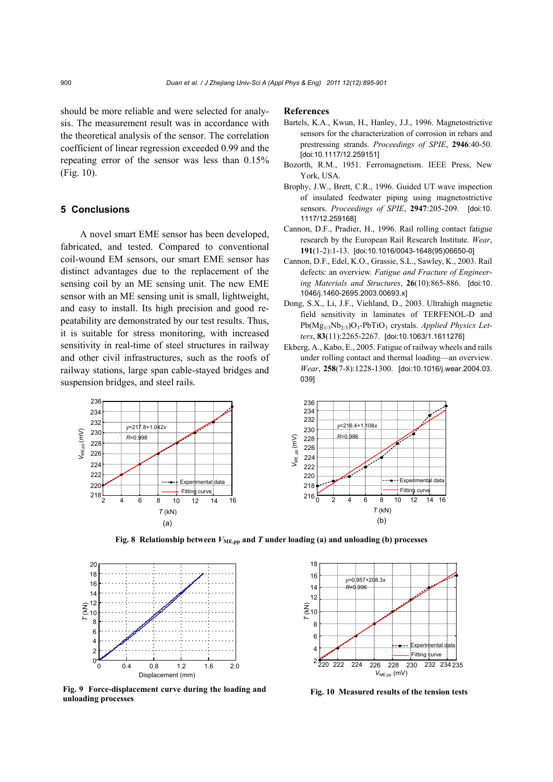should be more reliable and were selected for analysis. The measurement result was in accordance with the theoretical analysis of the sensor. The correlation coefficient of linear regression exceeded 0.99 and the repeating error of the sensor was less than 0.15% (Fig. 10).

### **5 Conclusions**

A novel smart EME sensor has been developed, fabricated, and tested. Compared to conventional coil-wound EM sensors, our smart EME sensor has distinct advantages due to the replacement of the sensing coil by an ME sensing unit. The new EME sensor with an ME sensing unit is small, lightweight, and easy to install. Its high precision and good repeatability are demonstrated by our test results. Thus, it is suitable for stress monitoring, with increased sensitivity in real-time of steel structures in railway and other civil infrastructures, such as the roofs of railway stations, large span cable-stayed bridges and suspension bridges, and steel rails.

### **References**

- Bartels, K.A., Kwun, H., Hanley, J.J., 1996. Magnetostrictive sensors for the characterization of corrosion in rebars and prestressing strands. *Proceedings of SPIE*, **2946**:40-50. [doi:10.1117/12.259151]
- Bozorth, R.M., 1951. Ferromagnetism. IEEE Press, New York, USA.
- Brophy, J.W., Brett, C.R., 1996. Guided UT wave inspection of insulated feedwater piping using magnetostrictive sensors. *Proceedings of SPIE*, **2947**:205-209. [doi:10. 1117/12.259168]
- Cannon, D.F., Pradier, H., 1996. Rail rolling contact fatigue research by the European Rail Research Institute. *Wear*, **191**(1-2):1-13. [doi:10.1016/0043-1648(95)06650-0]
- Cannon, D.F., Edel, K.O., Grassie, S.L., Sawley, K., 2003. Rail defects: an overview. *Fatigue and Fracture of Engineering Materials and Structures*, **26**(10):865-886. [doi:10. 1046/j.1460-2695.2003.00693.x]
- Dong, S.X., Li, J.F., Viehland, D., 2003. Ultrahigh magnetic field sensitivity in laminates of TERFENOL-D and Pb(Mg<sub>1/3</sub>Nb<sub>2/3</sub>)O<sub>3</sub>-PbTiO<sub>3</sub> crystals. *Applied Physics Letters*, **83**(11):2265-2267. [doi:10.1063/1.1611276]
- Ekberg, A., Kabo, E., 2005. Fatigue of railway wheels and rails under rolling contact and thermal loading—an overview. *Wear*, **258**(7-8):1228-1300. [doi:10.1016/j.wear.2004.03. 039]



Fig. 8 Relationship between  $V_{\text{ME,pp}}$  and *T* under loading (a) and unloading (b) processes



**Fig. 9 Force-displacement curve during the loading and unloading processes**



**Fig. 10 Measured results of the tension tests**